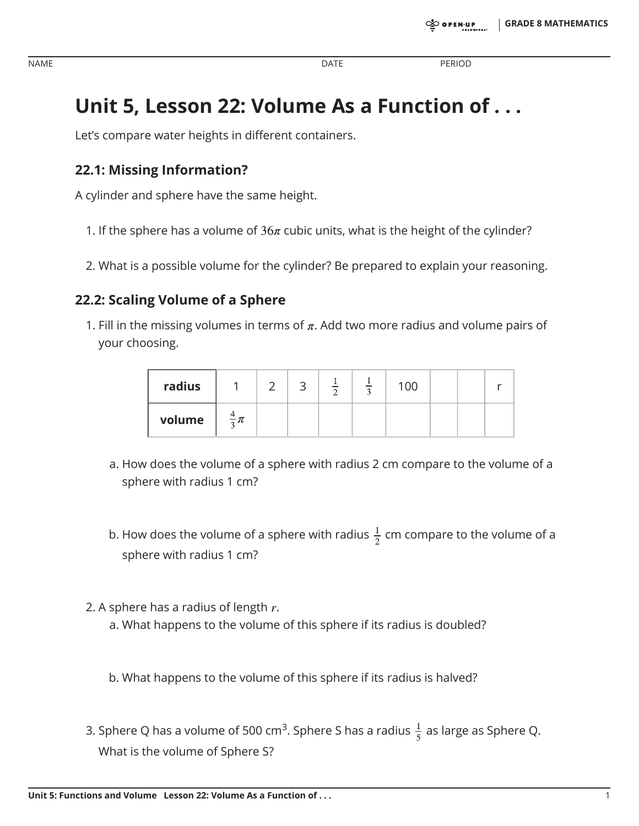NAME DATE PERIOD

# **Unit 5, Lesson 22: Volume As a Function of . . .**

Let's compare water heights in different containers.

## **22.1: Missing Information?**

A cylinder and sphere have the same height.

- 1. If the sphere has a volume of  $36\pi$  cubic units, what is the height of the cylinder?
- 2. What is a possible volume for the cylinder? Be prepared to explain your reasoning.

### **22.2: Scaling Volume of a Sphere**

1. Fill in the missing volumes in terms of  $\pi$ . Add two more radius and volume pairs of your choosing.

| radius |                  |  |  | 100 |  |  |
|--------|------------------|--|--|-----|--|--|
| volume | $\frac{4}{2}\pi$ |  |  |     |  |  |

- a. How does the volume of a sphere with radius 2 cm compare to the volume of a sphere with radius 1 cm?
- b. How does the volume of a sphere with radius  $\frac{1}{2}$  cm compare to the volume of a sphere with radius 1 cm?
- 2. A sphere has a radius of length  $r$ . a. What happens to the volume of this sphere if its radius is doubled?

b. What happens to the volume of this sphere if its radius is halved?

3. Sphere Q has a volume of 500 cm<sup>3</sup>. Sphere S has a radius  $\frac{1}{5}$  as large as Sphere Q. What is the volume of Sphere S?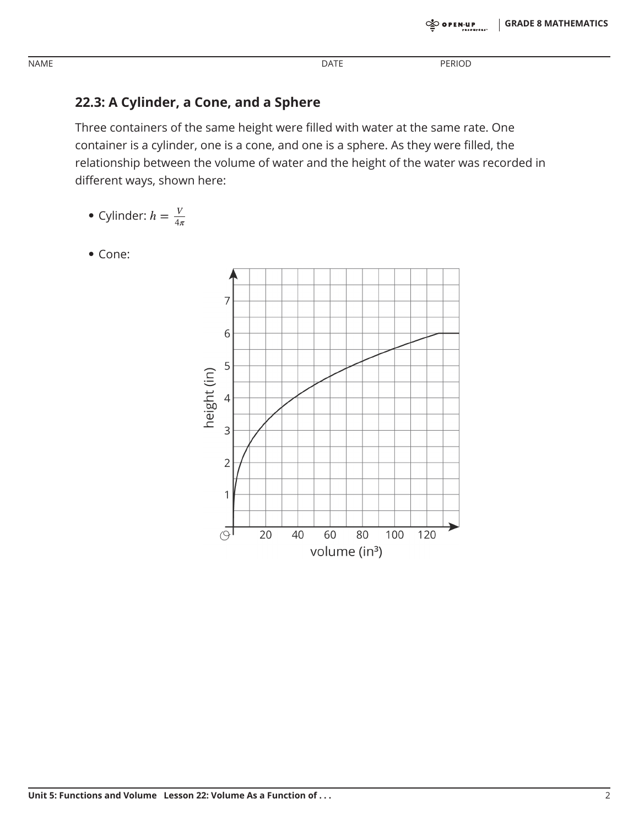#### **DATE**

**PERIOD** 

### 22.3: A Cylinder, a Cone, and a Sphere

Three containers of the same height were filled with water at the same rate. One container is a cylinder, one is a cone, and one is a sphere. As they were filled, the relationship between the volume of water and the height of the water was recorded in different ways, shown here:

- Cylinder:  $h = \frac{V}{4\pi}$
- Cone:



**NAME**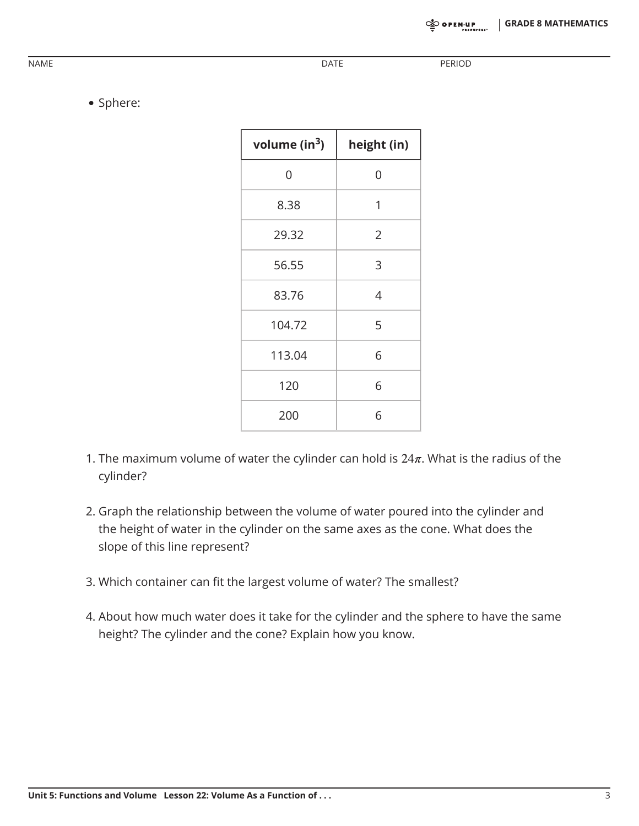NAME DATE PERIOD

• Sphere:

| volume ( $in3$ ) | height (in) |  |  |
|------------------|-------------|--|--|
| 0                | 0           |  |  |
| 8.38             | 1           |  |  |
| 29.32            | 2           |  |  |
| 56.55            | 3           |  |  |
| 83.76            | 4           |  |  |
| 104.72           | 5           |  |  |
| 113.04           | 6           |  |  |
| 120              | 6           |  |  |
| 200              | 6           |  |  |

- 1. The maximum volume of water the cylinder can hold is  $24\pi$ . What is the radius of the cylinder?
- 2. Graph the relationship between the volume of water poured into the cylinder and the height of water in the cylinder on the same axes as the cone. What does the slope of this line represent?
- 3. Which container can fit the largest volume of water? The smallest?
- 4. About how much water does it take for the cylinder and the sphere to have the same height? The cylinder and the cone? Explain how you know.